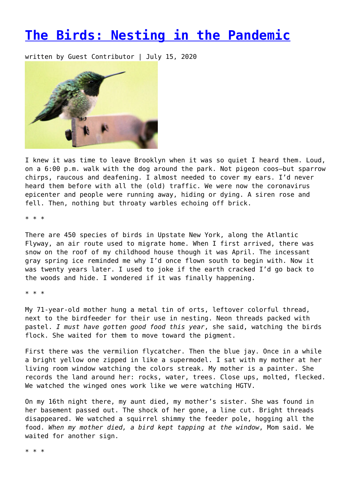## **[The Birds: Nesting in the Pandemic](https://entropymag.org/the-birds-nesting-in-the-pandemic/)**

written by Guest Contributor | July 15, 2020



I knew it was time to leave Brooklyn when it was so quiet I heard them. Loud, on a 6:00 p.m. walk with the dog around the park. Not pigeon coos—but sparrow chirps, raucous and deafening. I almost needed to cover my ears. I'd never heard them before with all the (old) traffic. We were now the coronavirus epicenter and people were running away, hiding or dying. A siren rose and fell. Then, nothing but throaty warbles echoing off brick.

\* \* \*

There are 450 species of birds in Upstate New York, along the Atlantic Flyway, an air route used to migrate home. When I first arrived, there was snow on the roof of my childhood house though it was April. The incessant gray spring ice reminded me why I'd once flown south to begin with. Now it was twenty years later. I used to joke if the earth cracked I'd go back to the woods and hide. I wondered if it was finally happening.

\* \* \*

My 71-year-old mother hung a metal tin of orts, leftover colorful thread, next to the birdfeeder for their use in nesting. Neon threads packed with pastel. *I must have gotten good food this year*, she said, watching the birds flock. She waited for them to move toward the pigment.

First there was the vermilion flycatcher. Then the blue jay. Once in a while a bright yellow one zipped in like a supermodel. I sat with my mother at her living room window watching the colors streak. My mother is a painter. She records the land around her: rocks, water, trees. Close ups, molted, flecked. We watched the winged ones work like we were watching HGTV.

On my 16th night there, my aunt died, my mother's sister. She was found in her basement passed out. The shock of her gone, a line cut. Bright threads disappeared. We watched a squirrel shimmy the feeder pole, hogging all the food. *When my mother died, a bird kept tapping at the window*, Mom said. We waited for another sign.

\* \* \*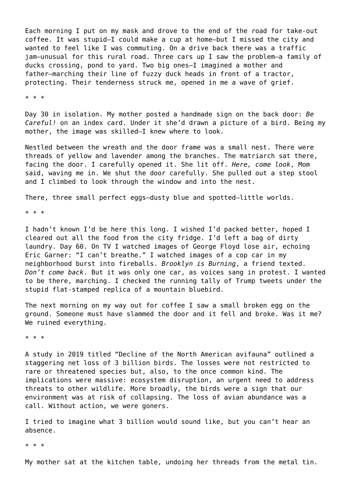Each morning I put on my mask and drove to the end of the road for take-out coffee. It was stupid—I could make a cup at home—but I missed the city and wanted to feel like I was commuting. On a drive back there was a traffic jam—unusual for this rural road. Three cars up I saw the problem—a family of ducks crossing, pond to yard. Two big ones—I imagined a mother and father—marching their line of fuzzy duck heads in front of a tractor, protecting. Their tenderness struck me, opened in me a wave of grief.

\* \* \*

Day 30 in isolation. My mother posted a handmade sign on the back door: *Be Careful!* on an index card. Under it she'd drawn a picture of a bird. Being my mother, the image was skilled—I knew where to look.

Nestled between the wreath and the door frame was a small nest. There were threads of yellow and lavender among the branches. The matriarch sat there, facing the door. I carefully opened it. She lit off. *Here, come look*, Mom said, waving me in. We shut the door carefully. She pulled out a step stool and I climbed to look through the window and into the nest.

There, three small perfect eggs—dusty blue and spotted—little worlds.

\* \* \*

I hadn't known I'd be here this long. I wished I'd packed better, hoped I cleared out all the food from the city fridge. I'd left a bag of dirty laundry. Day 60. On TV I watched images of George Floyd lose air, echoing Eric Garner: "I can't breathe." I watched images of a cop car in my neighborhood burst into fireballs. *Brooklyn is Burning*, a friend texted. *Don't come back*. But it was only one car, as voices sang in protest. I wanted to be there, marching. I checked the running tally of Trump tweets under the stupid flat-stamped replica of a mountain bluebird.

The next morning on my way out for coffee I saw a small broken egg on the ground. Someone must have slammed the door and it fell and broke. Was it me? We ruined everything.

\* \* \*

A study in 2019 titled "Decline of the North American avifauna" outlined a staggering net loss of 3 billion birds. The losses were not restricted to rare or threatened species but, also, to the once common kind. The implications were massive: ecosystem disruption, an urgent need to address threats to other wildlife. More broadly, the birds were a sign that our environment was at risk of collapsing. The loss of avian abundance was a call. Without action, we were goners.

I tried to imagine what 3 billion would sound like, but you can't hear an absence.

\* \* \*

My mother sat at the kitchen table, undoing her threads from the metal tin.